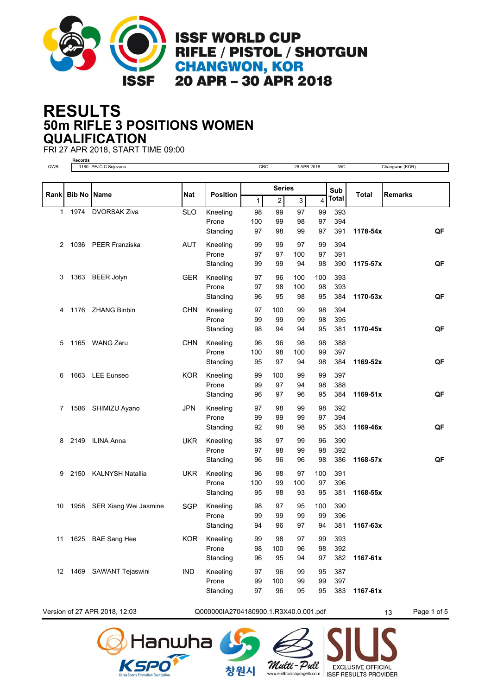

## **50m RIFLE 3 POSITIONS WOMEN RESULTS QUALIFICATION**

FRI 27 APR 2018, START TIME 09:00



Version of 27 APR 2018, 12:03 Q0000000000000000000000000001.R3X40.0.001.pdf 13 Page 1 of 5





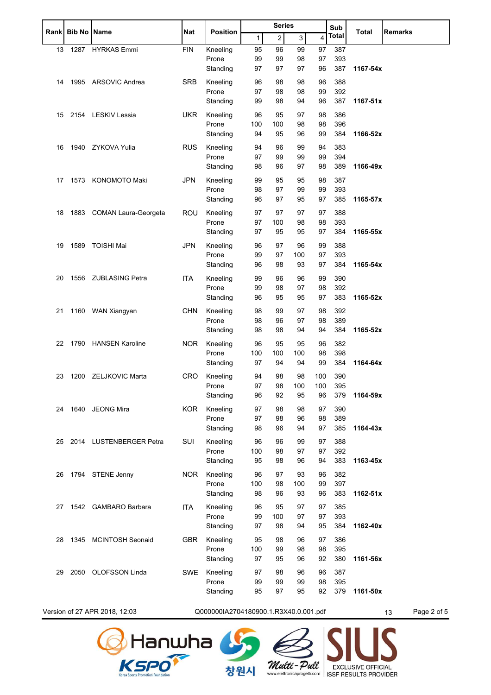| <b>Rank</b> | <b>Bib No Name</b> |                               | Nat                                   | <b>Position</b>   | <b>Series</b> |                |          | Sub                     | Total      | <b>Remarks</b>    |  |
|-------------|--------------------|-------------------------------|---------------------------------------|-------------------|---------------|----------------|----------|-------------------------|------------|-------------------|--|
|             |                    |                               |                                       |                   | $\mathbf{1}$  | $\overline{c}$ | 3        | $\overline{\mathbf{4}}$ | Total      |                   |  |
| 13          |                    | 1287 HYRKAS Emmi              | <b>FIN</b>                            | Kneeling          | 95            | 96             | 99       | 97                      | 387        |                   |  |
|             |                    |                               |                                       | Prone             | 99            | 99             | 98       | 97                      | 393        |                   |  |
|             |                    |                               |                                       | Standing          | 97            | 97             | 97       | 96                      | 387        | 1167-54x          |  |
| 14          |                    | 1995 ARSOVIC Andrea           | <b>SRB</b>                            | Kneeling          | 96            | 98             | 98       | 96                      | 388        |                   |  |
|             |                    |                               |                                       | Prone             | 97            | 98             | 98       | 99                      | 392        |                   |  |
|             |                    |                               |                                       | Standing          | 99            | 98             | 94       | 96                      | 387        | $1167 - 51x$      |  |
| 15          |                    | 2154 LESKIV Lessia            | <b>UKR</b>                            | Kneeling          | 96            | 95             | 97       | 98                      | 386        |                   |  |
|             |                    |                               |                                       | Prone             | 100           | 100            | 98       | 98                      | 396        |                   |  |
|             |                    |                               |                                       | Standing          | 94            | 95             | 96       | 99                      | 384        | 1166-52x          |  |
| 16          |                    | 1940 ZYKOVA Yulia             | <b>RUS</b>                            | Kneeling          | 94            | 96             | 99       | 94                      | 383        |                   |  |
|             |                    |                               |                                       | Prone             | 97            | 99             | 99       | 99                      | 394        |                   |  |
|             |                    |                               |                                       | Standing          | 98            | 96             | 97       | 98                      | 389        | 1166-49x          |  |
| 17          |                    | 1573 KONOMOTO Maki            | JPN                                   | Kneeling          | 99            | 95             | 95       | 98                      | 387        |                   |  |
|             |                    |                               |                                       | Prone             | 98            | 97             | 99       | 99                      | 393        |                   |  |
|             |                    |                               |                                       | Standing          | 96            | 97             | 95       | 97                      | 385        | 1165-57x          |  |
| 18          |                    | 1883 COMAN Laura-Georgeta     | <b>ROU</b>                            | Kneeling          | 97            | 97             | 97       | 97                      | 388        |                   |  |
|             |                    |                               |                                       | Prone             | 97            | 100            | 98       | 98                      | 393        |                   |  |
|             |                    |                               |                                       | Standing          | 97            | 95             | 95       | 97                      | 384        | 1165-55x          |  |
| 19          |                    | 1589 TOISHI Mai               | <b>JPN</b>                            | Kneeling          | 96            | 97             | 96       | 99                      | 388        |                   |  |
|             |                    |                               |                                       | Prone             | 99            | 97             | 100      | 97                      | 393        |                   |  |
|             |                    |                               |                                       | Standing          | 96            | 98             | 93       | 97                      | 384        | 1165-54x          |  |
| 20          |                    | 1556 ZUBLASING Petra          | <b>ITA</b>                            | Kneeling          | 99            | 96             | 96       | 99                      | 390        |                   |  |
|             |                    |                               |                                       | Prone             | 99            | 98             | 97       | 98                      | 392        |                   |  |
|             |                    |                               |                                       | Standing          | 96            | 95             | 95       | 97                      | 383        | 1165-52x          |  |
| 21          |                    | 1160 WAN Xiangyan             | <b>CHN</b>                            | Kneeling          | 98            | 99             | 97       | 98                      | 392        |                   |  |
|             |                    |                               |                                       | Prone             | 98            | 96             | 97       | 98                      | 389        |                   |  |
|             |                    |                               |                                       | Standing          | 98            | 98             | 94       | 94                      | 384        | 1165-52x          |  |
| 22          |                    | 1790 HANSEN Karoline          | NOR                                   | Kneeling          | 96            | 95             | 95       | 96                      | 382        |                   |  |
|             |                    |                               |                                       | Prone             | 100           | 100            | 100      | 98                      | 398        |                   |  |
|             |                    |                               |                                       | Standing          | 97            | 94             | 94       | 99                      | 384        | 1164-64x          |  |
| 23          |                    | 1200 ZELJKOVIC Marta          | <b>CRO</b>                            | Kneeling          | 94            | 98             | 98       | 100                     | 390        |                   |  |
|             |                    |                               |                                       | Prone             | 97            | 98             | 100      | 100                     | 395        |                   |  |
|             |                    |                               |                                       | Standing          | 96            | 92             | 95       | 96                      | 379        | 1164-59x          |  |
| 24          |                    | 1640 JEONG Mira               | KOR                                   | Kneeling          | 97            | 98             | 98       | 97                      | 390        |                   |  |
|             |                    |                               |                                       | Prone             | 97            | 98             | 96       | 98                      | 389        |                   |  |
|             |                    |                               |                                       | Standing          | 98            | 96             | 94       | 97                      | 385        | 1164-43x          |  |
| 25          |                    | 2014 LUSTENBERGER Petra       | SUI                                   | Kneeling          | 96            | 96             | 99       | 97                      | 388        |                   |  |
|             |                    |                               |                                       | Prone             | 100           | 98             | 97       | 97                      | 392        |                   |  |
|             |                    |                               |                                       | Standing          | 95            | 98             | 96       | 94                      | 383        | 1163-45x          |  |
| 26          |                    | 1794 STENE Jenny              | <b>NOR</b>                            | Kneeling          | 96            | 97             | 93       | 96                      | 382        |                   |  |
|             |                    |                               |                                       | Prone             | 100           | 98             | 100      | 99                      | 397        |                   |  |
|             |                    |                               |                                       | Standing          | 98            | 96             | 93       | 96                      | 383        | 1162-51x          |  |
|             |                    |                               | <b>ITA</b>                            |                   |               |                |          |                         |            |                   |  |
| 27          |                    | 1542 GAMBARO Barbara          |                                       | Kneeling<br>Prone | 96<br>99      | 95<br>100      | 97<br>97 | 97<br>97                | 385<br>393 |                   |  |
|             |                    |                               |                                       | Standing          | 97            | 98             | 94       | 95                      | 384        | 1162-40x          |  |
|             |                    |                               |                                       |                   |               |                |          |                         |            |                   |  |
| 28          |                    | 1345 MCINTOSH Seonaid         | <b>GBR</b>                            | Kneeling<br>Prone | 95<br>100     | 98<br>99       | 96<br>98 | 97<br>98                | 386<br>395 |                   |  |
|             |                    |                               |                                       | Standing          | 97            | 95             | 96       | 92                      | 380        | 1161-56x          |  |
|             |                    |                               |                                       |                   |               |                |          |                         |            |                   |  |
| 29          | 2050               | <b>OLOFSSON Linda</b>         | SWE                                   | Kneeling<br>Prone | 97<br>99      | 98<br>99       | 96<br>99 | 96<br>98                | 387<br>395 |                   |  |
|             |                    |                               |                                       | Standing          | 95            | 97             | 95       | 92                      | 379        | 1161-50x          |  |
|             |                    |                               |                                       |                   |               |                |          |                         |            |                   |  |
|             |                    | Version of 27 APR 2018, 12:03 | Q000000IA2704180900.1.R3X40.0.001.pdf |                   |               |                |          |                         |            | Page 2 of 5<br>13 |  |



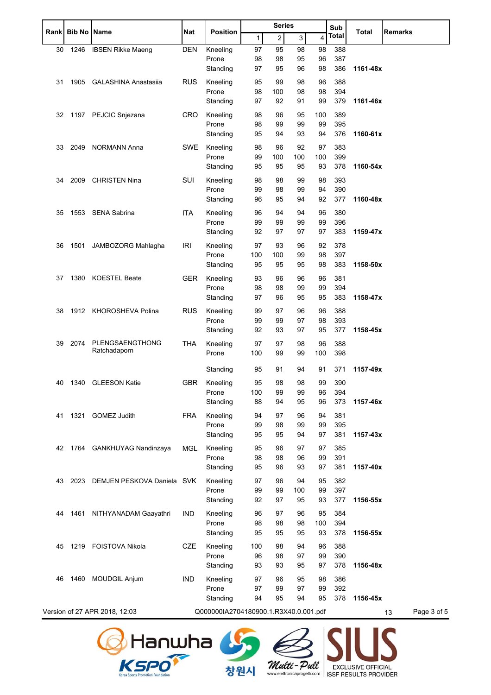| <b>Rank</b> | <b>Bib No</b> | <b>Name</b>                   | Nat        | <b>Position</b>                       | <b>Series</b> |                |     |     | Sub          | <b>Total</b> | <b>Remarks</b>    |
|-------------|---------------|-------------------------------|------------|---------------------------------------|---------------|----------------|-----|-----|--------------|--------------|-------------------|
|             |               |                               |            |                                       | $\mathbf{1}$  | $\overline{c}$ | 3   | 4   | <b>Total</b> |              |                   |
| 30          | 1246          | <b>IBSEN Rikke Maeng</b>      | <b>DEN</b> | Kneeling                              | 97            | 95             | 98  | 98  | 388          |              |                   |
|             |               |                               |            | Prone                                 | 98            | 98             | 95  | 96  | 387          |              |                   |
|             |               |                               |            | Standing                              | 97            | 95             | 96  | 98  | 386          | 1161-48x     |                   |
| 31          | 1905          | <b>GALASHINA Anastasija</b>   | <b>RUS</b> | Kneeling                              | 95            | 99             | 98  | 96  | 388          |              |                   |
|             |               |                               |            | Prone                                 | 98            | 100            | 98  | 98  | 394          |              |                   |
|             |               |                               |            | Standing                              | 97            | 92             | 91  | 99  | 379          | 1161-46x     |                   |
| 32          | 1197          | PEJCIC Snjezana               | <b>CRO</b> | Kneeling                              | 98            | 96             | 95  | 100 | 389          |              |                   |
|             |               |                               |            | Prone                                 | 98            | 99             | 99  | 99  | 395          |              |                   |
|             |               |                               |            | Standing                              | 95            | 94             | 93  | 94  | 376          | 1160-61x     |                   |
| 33          | 2049          | <b>NORMANN Anna</b>           | <b>SWE</b> | Kneeling                              | 98            | 96             | 92  | 97  | 383          |              |                   |
|             |               |                               |            | Prone                                 | 99            | 100            | 100 | 100 | 399          |              |                   |
|             |               |                               |            | Standing                              | 95            | 95             | 95  | 93  | 378          | 1160-54x     |                   |
| 34          | 2009          | <b>CHRISTEN Nina</b>          | <b>SUI</b> | Kneeling                              | 98            | 98             | 99  | 98  | 393          |              |                   |
|             |               |                               |            | Prone                                 | 99            | 98             | 99  | 94  | 390          |              |                   |
|             |               |                               |            | Standing                              | 96            | 95             | 94  | 92  | 377          | 1160-48x     |                   |
| 35          | 1553          | SENA Sabrina                  | <b>ITA</b> | Kneeling                              | 96            | 94             | 94  | 96  | 380          |              |                   |
|             |               |                               |            | Prone                                 | 99            | 99             | 99  | 99  | 396          |              |                   |
|             |               |                               |            | Standing                              | 92            | 97             | 97  | 97  | 383          | 1159-47x     |                   |
| 36          | 1501          | JAMBOZORG Mahlagha            | <b>IRI</b> | Kneeling                              | 97            | 93             | 96  | 92  | 378          |              |                   |
|             |               |                               |            | Prone                                 | 100           | 100            | 99  | 98  | 397          |              |                   |
|             |               |                               |            | Standing                              | 95            | 95             | 95  | 98  | 383          | 1158-50x     |                   |
| 37          | 1380          | <b>KOESTEL Beate</b>          | <b>GER</b> | Kneeling                              | 93            | 96             | 96  | 96  | 381          |              |                   |
|             |               |                               |            | Prone                                 | 98            | 98             | 99  | 99  | 394          |              |                   |
|             |               |                               |            | Standing                              | 97            | 96             | 95  | 95  | 383          | 1158-47x     |                   |
| 38          |               | 1912 KHOROSHEVA Polina        | <b>RUS</b> | Kneeling                              | 99            | 97             | 96  | 96  | 388          |              |                   |
|             |               |                               |            | Prone                                 | 99            | 99             | 97  | 98  | 393          |              |                   |
|             |               |                               |            | Standing                              | 92            | 93             | 97  | 95  | 377          | 1158-45x     |                   |
| 39          | 2074          | PLENGSAENGTHONG               | <b>THA</b> | Kneeling                              | 97            | 97             | 98  | 96  | 388          |              |                   |
|             |               | Ratchadaporn                  |            | Prone                                 | 100           | 99             | 99  | 100 | 398          |              |                   |
|             |               |                               |            |                                       |               |                |     |     |              |              |                   |
|             |               |                               |            | Standing                              | 95            | 91             | 94  | 91  | 371          | 1157-49x     |                   |
| 40          | 1340          | <b>GLEESON Katie</b>          | GBR        | Kneeling                              | 95            | 98             | 98  | 99  | 390          |              |                   |
|             |               |                               |            | Prone                                 | 100           | 99<br>94       | 99  | 96  | 394          |              |                   |
|             |               |                               |            | Standing                              | 88            |                | 95  | 96  | 373          | 1157-46x     |                   |
| 41          | 1321          | <b>GOMEZ Judith</b>           | <b>FRA</b> | Kneeling                              | 94            | 97             | 96  | 94  | 381          |              |                   |
|             |               |                               |            | Prone                                 | 99            | 98             | 99  | 99  | 395          |              |                   |
|             |               |                               |            | Standing                              | 95            | 95             | 94  | 97  | 381          | 1157-43x     |                   |
| 42          |               | 1764 GANKHUYAG Nandinzaya     | <b>MGL</b> | Kneeling                              | 95            | 96             | 97  | 97  | 385          |              |                   |
|             |               |                               |            | Prone                                 | 98            | 98             | 96  | 99  | 391          | 1157-40x     |                   |
|             |               |                               |            | Standing                              | 95            | 96             | 93  | 97  | 381          |              |                   |
| 43          | 2023          | DEMJEN PESKOVA Daniela SVK    |            | Kneeling                              | 97            | 96             | 94  | 95  | 382          |              |                   |
|             |               |                               |            | Prone                                 | 99            | 99             | 100 | 99  | 397          |              |                   |
|             |               |                               |            | Standing                              | 92            | 97             | 95  | 93  | 377          | 1156-55x     |                   |
| 44          | 1461          | NITHYANADAM Gaayathri         | <b>IND</b> | Kneeling                              | 96            | 97             | 96  | 95  | 384          |              |                   |
|             |               |                               |            | Prone                                 | 98            | 98             | 98  | 100 | 394          |              |                   |
|             |               |                               |            | Standing                              | 95            | 95             | 95  | 93  | 378          | 1156-55x     |                   |
| 45          | 1219          | FOISTOVA Nikola               | CZE        | Kneeling                              | 100           | 98             | 94  | 96  | 388          |              |                   |
|             |               |                               |            | Prone                                 | 96            | 98             | 97  | 99  | 390          |              |                   |
|             |               |                               |            | Standing                              | 93            | 93             | 95  | 97  | 378          | 1156-48x     |                   |
| 46          | 1460          | <b>MOUDGIL Anjum</b>          | <b>IND</b> | Kneeling                              | 97            | 96             | 95  | 98  | 386          |              |                   |
|             |               |                               |            | Prone                                 | 97            | 99             | 97  | 99  | 392          |              |                   |
|             |               |                               |            | Standing                              | 94            | 95             | 94  | 95  | 378          | 1156-45x     |                   |
|             |               | Version of 27 APR 2018, 12:03 |            | Q000000IA2704180900.1.R3X40.0.001.pdf |               |                |     |     |              |              | Page 3 of 5<br>13 |
|             |               |                               |            |                                       |               |                |     |     |              |              |                   |





창원시

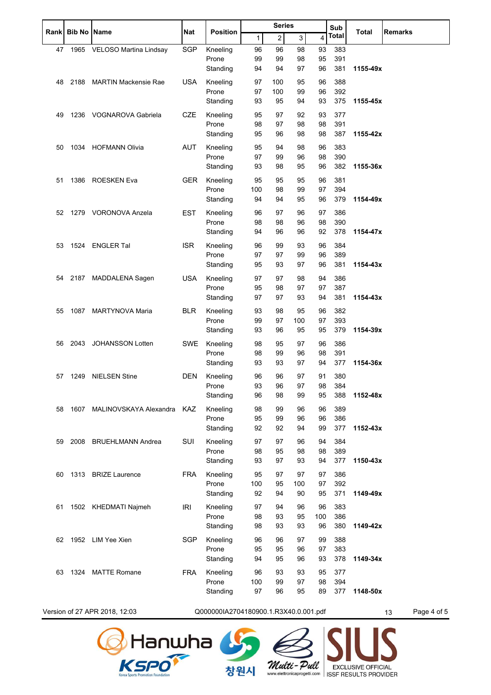|      |      | <b>Bib No   Name</b>            | Nat        | <b>Position</b>                       | <b>Series</b> |                |              | Sub      | Total      | <b>Remarks</b> |                   |
|------|------|---------------------------------|------------|---------------------------------------|---------------|----------------|--------------|----------|------------|----------------|-------------------|
| Rank |      |                                 |            |                                       | 1             | $\overline{c}$ | $\mathbf{3}$ | 4        | Total      |                |                   |
| 47   |      | 1965 VELOSO Martina Lindsay     | <b>SGP</b> | Kneeling                              | 96            | 96             | 98           | 93       | 383        |                |                   |
|      |      |                                 |            | Prone                                 | 99            | 99             | 98           | 95       | 391        |                |                   |
|      |      |                                 |            | Standing                              | 94            | 94             | 97           | 96       | 381        | 1155-49x       |                   |
| 48   | 2188 | <b>MARTIN Mackensie Rae</b>     | <b>USA</b> | Kneeling                              | 97            | 100            | 95           | 96       | 388        |                |                   |
|      |      |                                 |            | Prone                                 | 97            | 100            | 99           | 96       | 392        |                |                   |
|      |      |                                 |            | Standing                              | 93            | 95             | 94           | 93       | 375        | 1155-45x       |                   |
| 49   |      | 1236 VOGNAROVA Gabriela         | <b>CZE</b> | Kneeling                              | 95            | 97             | 92           | 93       | 377        |                |                   |
|      |      |                                 |            | Prone                                 | 98            | 97             | 98           | 98       | 391        |                |                   |
|      |      |                                 |            | Standing                              | 95            | 96             | 98           | 98       | 387        | 1155-42x       |                   |
| 50   |      | 1034 HOFMANN Olivia             | <b>AUT</b> | Kneeling                              | 95            | 94             | 98           | 96       | 383        |                |                   |
|      |      |                                 |            | Prone                                 | 97            | 99             | 96           | 98       | 390        |                |                   |
|      |      |                                 |            | Standing                              | 93            | 98             | 95           | 96       | 382        | 1155-36x       |                   |
| 51   | 1386 | ROESKEN Eva                     | <b>GER</b> | Kneeling                              | 95            | 95             | 95           | 96       | 381        |                |                   |
|      |      |                                 |            | Prone                                 | 100           | 98             | 99           | 97       | 394        |                |                   |
|      |      |                                 |            | Standing                              | 94            | 94             | 95           | 96       | 379        | 1154-49x       |                   |
| 52   |      | 1279 VORONOVA Anzela            | <b>EST</b> | Kneeling                              | 96            | 97             | 96           | 97       | 386        |                |                   |
|      |      |                                 |            | Prone                                 | 98            | 98             | 96           | 98       | 390        |                |                   |
|      |      |                                 |            | Standing                              | 94            | 96             | 96           | 92       | 378        | 1154-47x       |                   |
| 53   |      | 1524 ENGLER Tal                 | <b>ISR</b> | Kneeling                              | 96            | 99             | 93           | 96       | 384        |                |                   |
|      |      |                                 |            | Prone                                 | 97            | 97             | 99           | 96       | 389        |                |                   |
|      |      |                                 |            | Standing                              | 95            | 93             | 97           | 96       | 381        | 1154-43x       |                   |
| 54   |      | 2187 MADDALENA Sagen            | <b>USA</b> | Kneeling                              | 97            | 97             | 98           | 94       | 386        |                |                   |
|      |      |                                 |            | Prone                                 | 95            | 98             | 97           | 97       | 387        |                |                   |
|      |      |                                 |            | Standing                              | 97            | 97             | 93           | 94       | 381        | 1154-43x       |                   |
|      |      | 1087 MARTYNOVA Maria            | <b>BLR</b> | Kneeling                              | 93            | 98             | 95           | 96       | 382        |                |                   |
| 55   |      |                                 |            | Prone                                 | 99            | 97             | 100          | 97       | 393        |                |                   |
|      |      |                                 |            | Standing                              | 93            | 96             | 95           | 95       | 379        | 1154-39x       |                   |
|      |      |                                 |            |                                       |               |                |              |          |            |                |                   |
| 56   | 2043 | JOHANSSON Lotten                | SWE        | Kneeling<br>Prone                     | 98<br>98      | 95<br>99       | 97<br>96     | 96<br>98 | 386<br>391 |                |                   |
|      |      |                                 |            | Standing                              | 93            | 93             | 97           | 94       | 377        | 1154-36x       |                   |
|      |      |                                 |            |                                       |               |                |              |          |            |                |                   |
| 57   | 1249 | <b>NIELSEN Stine</b>            | DEN        | Kneeling<br>Prone                     | 96<br>93      | 96<br>96       | 97<br>97     | 91<br>98 | 380<br>384 |                |                   |
|      |      |                                 |            | Standing                              | 96            | 98             | 99           | 95       | 388        | 1152-48x       |                   |
|      |      |                                 |            |                                       |               |                |              |          |            |                |                   |
| 58   |      | 1607 MALINOVSKAYA Alexandra KAZ |            | Kneeling<br>Prone                     | 98<br>95      | 99<br>99       | 96<br>96     | 96<br>96 | 389<br>386 |                |                   |
|      |      |                                 |            | Standing                              | 92            | 92             | 94           | 99       | 377        | 1152-43x       |                   |
|      |      |                                 |            |                                       |               |                |              |          |            |                |                   |
| 59   |      | 2008 BRUEHLMANN Andrea          | SUI        | Kneeling<br>Prone                     | 97<br>98      | 97<br>95       | 96           | 94       | 384        |                |                   |
|      |      |                                 |            | Standing                              | 93            | 97             | 98<br>93     | 98<br>94 | 389<br>377 | 1150-43x       |                   |
|      |      |                                 |            |                                       |               |                |              |          |            |                |                   |
| 60   |      | 1313 BRIZE Laurence             | <b>FRA</b> | Kneeling                              | 95            | 97             | 97           | 97       | 386        |                |                   |
|      |      |                                 |            | Prone<br>Standing                     | 100<br>92     | 95<br>94       | 100<br>90    | 97<br>95 | 392<br>371 | 1149-49x       |                   |
|      |      |                                 |            |                                       |               |                |              |          |            |                |                   |
| 61   |      | 1502 KHEDMATI Najmeh            | <b>IRI</b> | Kneeling                              | 97            | 94             | 96           | 96       | 383        |                |                   |
|      |      |                                 |            | Prone                                 | 98            | 93<br>93       | 95<br>93     | 100      | 386        |                |                   |
|      |      |                                 |            | Standing                              | 98            |                |              | 96       | 380        | 1149-42x       |                   |
| 62   |      | 1952 LIM Yee Xien               | <b>SGP</b> | Kneeling                              | 96            | 96             | 97           | 99       | 388        |                |                   |
|      |      |                                 |            | Prone                                 | 95            | 95             | 96           | 97       | 383        |                |                   |
|      |      |                                 |            | Standing                              | 94            | 95             | 96           | 93       | 378        | 1149-34x       |                   |
| 63   | 1324 | <b>MATTE Romane</b>             | <b>FRA</b> | Kneeling                              | 96            | 93             | 93           | 95       | 377        |                |                   |
|      |      |                                 |            | Prone                                 | 100           | 99             | 97           | 98       | 394        |                |                   |
|      |      |                                 |            | Standing                              | 97            | 96             | 95           | 89       | 377        | 1148-50x       |                   |
|      |      | Version of 27 APR 2018, 12:03   |            | Q000000IA2704180900.1.R3X40.0.001.pdf |               |                |              |          |            |                | Page 4 of 5<br>13 |